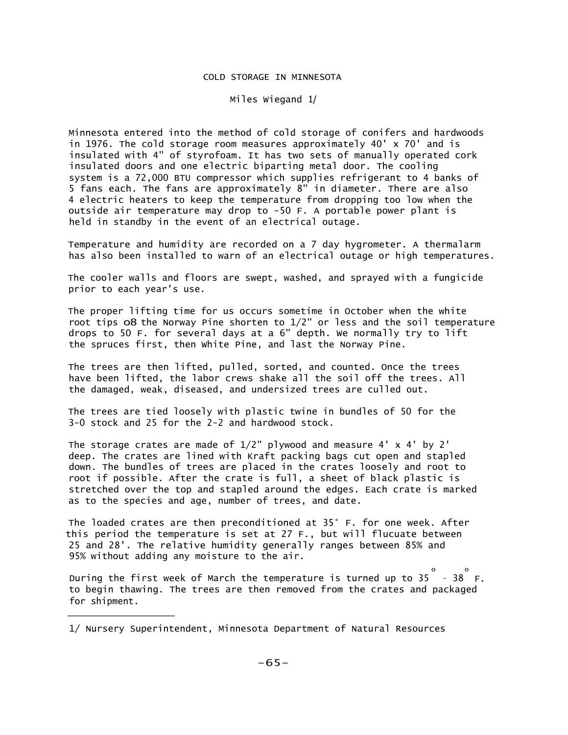## COLD STORAGE IN MINNESOTA

Miles Wiegand 1/

Minnesota entered into the method of cold storage of conifers and hardwoods in 1976. The cold storage room measures approximately 40' x 70' and is insulated with 4" of styrofoam. It has two sets of manually operated cork insulated doors and one electric biparting metal door. The cooling system is a 72,000 BTU compressor which supplies refrigerant to 4 banks of 5 fans each. The fans are approximately 8" in diameter. There are also 4 electric heaters to keep the temperature from dropping too low when the outside air temperature may drop to -50 F. A portable power plant is held in standby in the event of an electrical outage.

Temperature and humidity are recorded on a 7 day hygrometer. A thermalarm has also been installed to warn of an electrical outage or high temperatures.

The cooler walls and floors are swept, washed, and sprayed with a fungicide prior to each year's use.

The proper lifting time for us occurs sometime in October when the white root tips o8 the Norway Pine shorten to 1/2" or less and the soil temperature drops to 50 F. for several days at a 6" depth. We normally try to lift the spruces first, then White Pine, and last the Norway Pine.

The trees are then lifted, pulled, sorted, and counted. Once the trees have been lifted, the labor crews shake all the soil off the trees. All the damaged, weak, diseased, and undersized trees are culled out.

The trees are tied loosely with plastic twine in bundles of 50 for the 3-0 stock and 25 for the 2-2 and hardwood stock.

The storage crates are made of  $1/2$ " plywood and measure 4' x 4' by 2' deep. The crates are lined with Kraft packing bags cut open and stapled down. The bundles of trees are placed in the crates loosely and root to root if possible. After the crate is full, a sheet of black plastic is stretched over the top and stapled around the edges. Each crate is marked as to the species and age, number of trees, and date.

The loaded crates are then preconditioned at 35° F. for one week. After this period the temperature is set at 27 F., but will flucuate between 25 and 28'. The relative humidity generally ranges between 85% and 95% without adding any moisture to the air.

During the first week of March the temperature is turned up to 35 - 38 F. o o to begin thawing. The trees are then removed from the crates and packaged for shipment.

<sup>1/</sup> Nursery Superintendent, Minnesota Department of Natural Resources